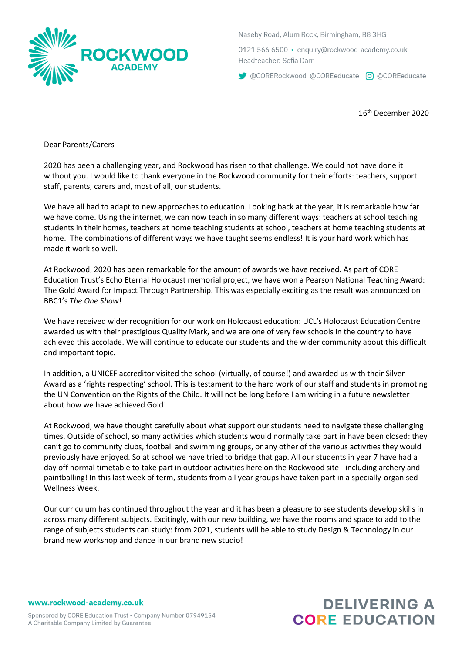

Naseby Road, Alum Rock, Birmingham, B8 3HG

0121 566 6500 · enguiry@rockwood-academy.co.uk Headteacher: Sofia Darr

CORERockwood @COREeducate c @ @COREeducate

16th December 2020

Dear Parents/Carers

2020 has been a challenging year, and Rockwood has risen to that challenge. We could not have done it without you. I would like to thank everyone in the Rockwood community for their efforts: teachers, support staff, parents, carers and, most of all, our students.

We have all had to adapt to new approaches to education. Looking back at the year, it is remarkable how far we have come. Using the internet, we can now teach in so many different ways: teachers at school teaching students in their homes, teachers at home teaching students at school, teachers at home teaching students at home. The combinations of different ways we have taught seems endless! It is your hard work which has made it work so well.

At Rockwood, 2020 has been remarkable for the amount of awards we have received. As part of CORE Education Trust's Echo Eternal Holocaust memorial project, we have won a Pearson National Teaching Award: The Gold Award for Impact Through Partnership. This was especially exciting as the result was announced on BBC1's *The One Show*!

We have received wider recognition for our work on Holocaust education: UCL's Holocaust Education Centre awarded us with their prestigious Quality Mark, and we are one of very few schools in the country to have achieved this accolade. We will continue to educate our students and the wider community about this difficult and important topic.

In addition, a UNICEF accreditor visited the school (virtually, of course!) and awarded us with their Silver Award as a 'rights respecting' school. This is testament to the hard work of our staff and students in promoting the UN Convention on the Rights of the Child. It will not be long before I am writing in a future newsletter about how we have achieved Gold!

At Rockwood, we have thought carefully about what support our students need to navigate these challenging times. Outside of school, so many activities which students would normally take part in have been closed: they can't go to community clubs, football and swimming groups, or any other of the various activities they would previously have enjoyed. So at school we have tried to bridge that gap. All our students in year 7 have had a day off normal timetable to take part in outdoor activities here on the Rockwood site - including archery and paintballing! In this last week of term, students from all year groups have taken part in a specially-organised Wellness Week.

Our curriculum has continued throughout the year and it has been a pleasure to see students develop skills in across many different subjects. Excitingly, with our new building, we have the rooms and space to add to the range of subjects students can study: from 2021, students will be able to study Design & Technology in our brand new workshop and dance in our brand new studio!

www.rockwood-academy.co.uk

# **DELIVERING A CORE EDUCATION**

Sponsored by CORE Education Trust - Company Number 07949154 A Charitable Company Limited by Guarantee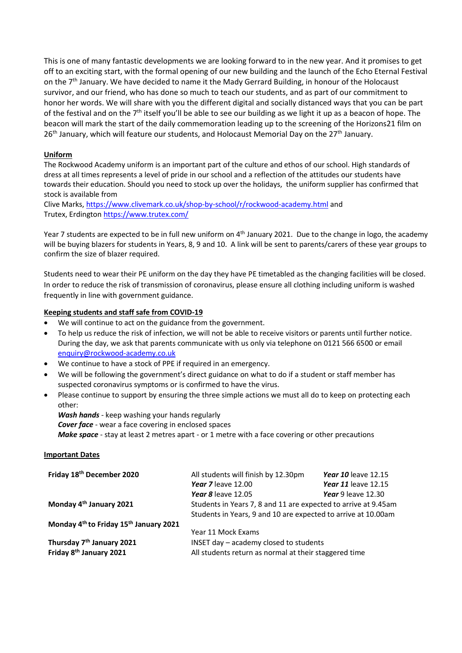This is one of many fantastic developments we are looking forward to in the new year. And it promises to get off to an exciting start, with the formal opening of our new building and the launch of the Echo Eternal Festival on the  $7<sup>th</sup>$  January. We have decided to name it the Mady Gerrard Building, in honour of the Holocaust survivor, and our friend, who has done so much to teach our students, and as part of our commitment to honor her words. We will share with you the different digital and socially distanced ways that you can be part of the festival and on the  $7<sup>th</sup>$  itself you'll be able to see our building as we light it up as a beacon of hope. The beacon will mark the start of the daily commemoration leading up to the screening of the Horizons21 film on  $26<sup>th</sup>$  January, which will feature our students, and Holocaust Memorial Day on the  $27<sup>th</sup>$  January.

## **Uniform**

The Rockwood Academy uniform is an important part of the culture and ethos of our school. High standards of dress at all times represents a level of pride in our school and a reflection of the attitudes our students have towards their education. Should you need to stock up over the holidays, the uniform supplier has confirmed that stock is available from

Clive Marks,<https://www.clivemark.co.uk/shop-by-school/r/rockwood-academy.html> and Trutex, Erdingto[n https://www.trutex.com/](https://www.trutex.com/) 

Year 7 students are expected to be in full new uniform on  $4<sup>th</sup>$  January 2021. Due to the change in logo, the academy will be buying blazers for students in Years, 8, 9 and 10. A link will be sent to parents/carers of these year groups to confirm the size of blazer required.

Students need to wear their PE uniform on the day they have PE timetabled as the changing facilities will be closed. In order to reduce the risk of transmission of coronavirus, please ensure all clothing including uniform is washed frequently in line with government guidance.

# **Keeping students and staff safe from COVID-19**

- We will continue to act on the guidance from the government.
- To help us reduce the risk of infection, we will not be able to receive visitors or parents until further notice. During the day, we ask that parents communicate with us only via telephone on 0121 566 6500 or email [enquiry@rockwood-academy.co.uk](mailto:enquiry@rockwood-academy.co.uk)
- We continue to have a stock of PPE if required in an emergency.
- We will be following the government's direct guidance on what to do if a student or staff member has suspected coronavirus symptoms or is confirmed to have the virus.
- Please continue to support by ensuring the three simple actions we must all do to keep on protecting each other:

*Wash hands* - keep washing your hands regularly *Cover face* - wear a face covering in enclosed spaces *Make space* - stay at least 2 metres apart - or 1 metre with a face covering or other precautions

#### **Important Dates**

| Friday 18th December 2020                                      | All students will finish by 12.30pm                            | <b>Year 10 leave 12.15</b> |  |
|----------------------------------------------------------------|----------------------------------------------------------------|----------------------------|--|
|                                                                | Year 7 leave 12.00                                             | <b>Year 11</b> leave 12.15 |  |
|                                                                | Year 8 leave 12.05                                             | Year 9 leave $12.30$       |  |
| Monday 4 <sup>th</sup> January 2021                            | Students in Years 7, 8 and 11 are expected to arrive at 9.45am |                            |  |
|                                                                | Students in Years, 9 and 10 are expected to arrive at 10.00am  |                            |  |
| Monday 4 <sup>th</sup> to Friday 15 <sup>th</sup> January 2021 |                                                                |                            |  |
|                                                                | Year 11 Mock Exams                                             |                            |  |
| Thursday 7 <sup>th</sup> January 2021                          | INSET day - academy closed to students                         |                            |  |
| Friday 8 <sup>th</sup> January 2021                            | All students return as normal at their staggered time          |                            |  |